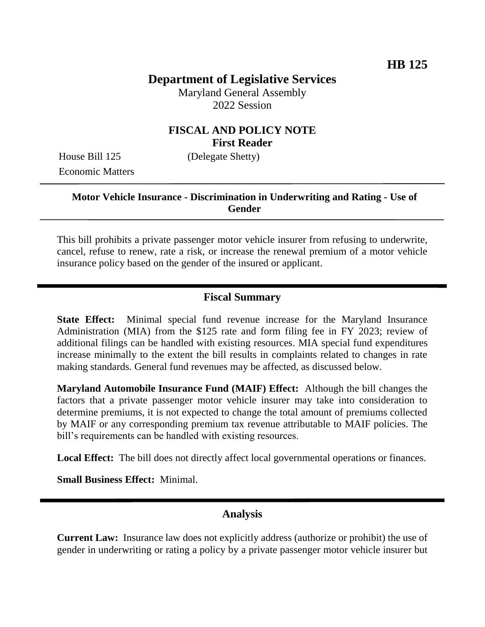# **Department of Legislative Services**

Maryland General Assembly 2022 Session

### **FISCAL AND POLICY NOTE First Reader**

Economic Matters

House Bill 125 (Delegate Shetty)

#### **Motor Vehicle Insurance - Discrimination in Underwriting and Rating - Use of Gender**

This bill prohibits a private passenger motor vehicle insurer from refusing to underwrite, cancel, refuse to renew, rate a risk, or increase the renewal premium of a motor vehicle insurance policy based on the gender of the insured or applicant.

### **Fiscal Summary**

**State Effect:** Minimal special fund revenue increase for the Maryland Insurance Administration (MIA) from the \$125 rate and form filing fee in FY 2023; review of additional filings can be handled with existing resources. MIA special fund expenditures increase minimally to the extent the bill results in complaints related to changes in rate making standards. General fund revenues may be affected, as discussed below.

**Maryland Automobile Insurance Fund (MAIF) Effect:** Although the bill changes the factors that a private passenger motor vehicle insurer may take into consideration to determine premiums, it is not expected to change the total amount of premiums collected by MAIF or any corresponding premium tax revenue attributable to MAIF policies. The bill's requirements can be handled with existing resources.

**Local Effect:** The bill does not directly affect local governmental operations or finances.

**Small Business Effect:** Minimal.

#### **Analysis**

**Current Law:** Insurance law does not explicitly address (authorize or prohibit) the use of gender in underwriting or rating a policy by a private passenger motor vehicle insurer but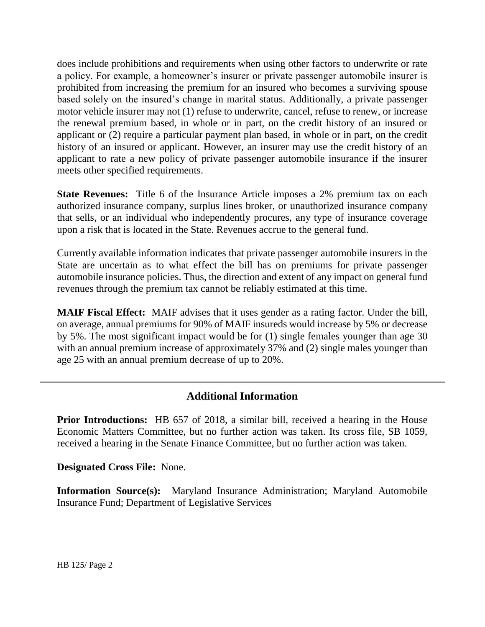does include prohibitions and requirements when using other factors to underwrite or rate a policy. For example, a homeowner's insurer or private passenger automobile insurer is prohibited from increasing the premium for an insured who becomes a surviving spouse based solely on the insured's change in marital status. Additionally, a private passenger motor vehicle insurer may not (1) refuse to underwrite, cancel, refuse to renew, or increase the renewal premium based, in whole or in part, on the credit history of an insured or applicant or (2) require a particular payment plan based, in whole or in part, on the credit history of an insured or applicant. However, an insurer may use the credit history of an applicant to rate a new policy of private passenger automobile insurance if the insurer meets other specified requirements.

**State Revenues:** Title 6 of the Insurance Article imposes a 2% premium tax on each authorized insurance company, surplus lines broker, or unauthorized insurance company that sells, or an individual who independently procures, any type of insurance coverage upon a risk that is located in the State. Revenues accrue to the general fund.

Currently available information indicates that private passenger automobile insurers in the State are uncertain as to what effect the bill has on premiums for private passenger automobile insurance policies. Thus, the direction and extent of any impact on general fund revenues through the premium tax cannot be reliably estimated at this time.

**MAIF Fiscal Effect:** MAIF advises that it uses gender as a rating factor. Under the bill, on average, annual premiums for 90% of MAIF insureds would increase by 5% or decrease by 5%. The most significant impact would be for (1) single females younger than age 30 with an annual premium increase of approximately 37% and (2) single males younger than age 25 with an annual premium decrease of up to 20%.

## **Additional Information**

**Prior Introductions:** HB 657 of 2018, a similar bill, received a hearing in the House Economic Matters Committee, but no further action was taken. Its cross file, SB 1059, received a hearing in the Senate Finance Committee, but no further action was taken.

**Designated Cross File:** None.

**Information Source(s):** Maryland Insurance Administration; Maryland Automobile Insurance Fund; Department of Legislative Services